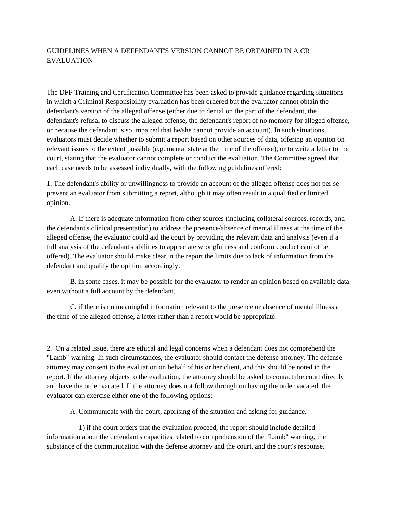## GUIDELINES WHEN A DEFENDANT'S VERSION CANNOT BE OBTAINED IN A CR **EVALUATION**

The DFP Training and Certification Committee has been asked to provide guidance regarding situations in which a Criminal Responsibility evaluation has been ordered but the evaluator cannot obtain the defendant's version of the alleged offense (either due to denial on the part of the defendant, the defendant's refusal to discuss the alleged offense, the defendant's report of no memory for alleged offense, or because the defendant is so impaired that he/she cannot provide an account). In such situations, evaluators must decide whether to submit a report based on other sources of data, offering an opinion on relevant issues to the extent possible (e.g. mental state at the time of the offense), or to write a letter to the court, stating that the evaluator cannot complete or conduct the evaluation. The Committee agreed that each case needs to be assessed individually, with the following guidelines offered:

1. The defendant's ability or unwillingness to provide an account of the alleged offense does not per se prevent an evaluator from submitting a report, although it may often result in a qualified or limited opinion.

 A. If there is adequate information from other sources (including collateral sources, records, and the defendant's clinical presentation) to address the presence/absence of mental illness at the time of the alleged offense, the evaluator could aid the court by providing the relevant data and analysis (even if a full analysis of the defendant's abilities to appreciate wrongfulness and conform conduct cannot be offered). The evaluator should make clear in the report the limits due to lack of information from the defendant and qualify the opinion accordingly.

 B. in some cases, it may be possible for the evaluator to render an opinion based on available data even without a full account by the defendant.

 C. if there is no meaningful information relevant to the presence or absence of mental illness at the time of the alleged offense, a letter rather than a report would be appropriate.

2. On a related issue, there are ethical and legal concerns when a defendant does not comprehend the "Lamb" warning. In such circumstances, the evaluator should contact the defense attorney. The defense attorney may consent to the evaluation on behalf of his or her client, and this should be noted in the report. If the attorney objects to the evaluation, the attorney should be asked to contact the court directly and have the order vacated. If the attorney does not follow through on having the order vacated, the evaluator can exercise either one of the following options:

A. Communicate with the court, apprising of the situation and asking for guidance.

 1) if the court orders that the evaluation proceed, the report should include detailed information about the defendant's capacities related to comprehension of the "Lamb" warning, the substance of the communication with the defense attorney and the court, and the court's response.